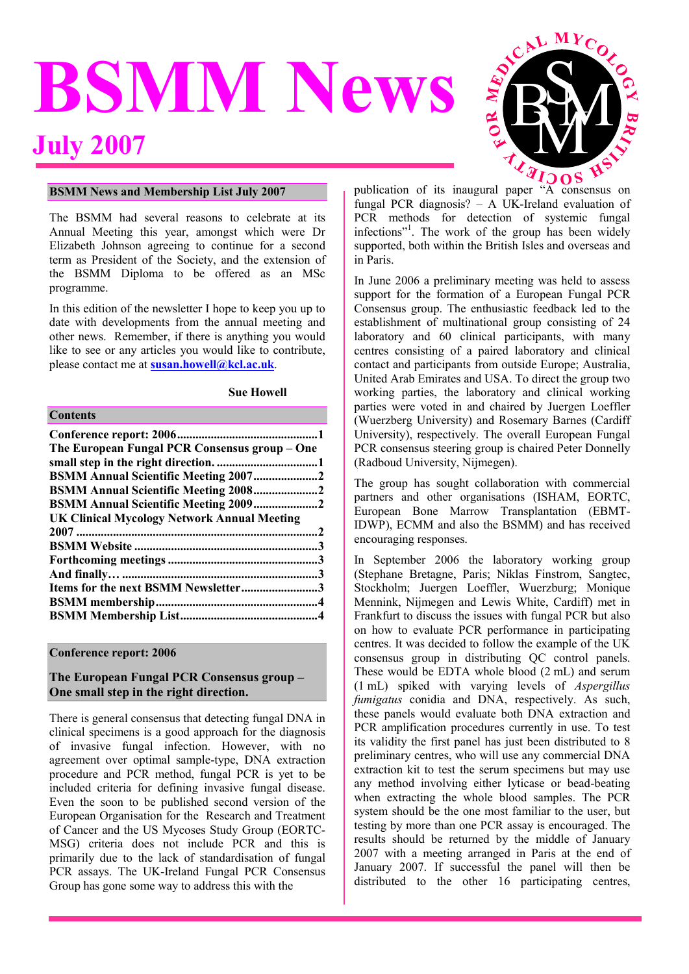# **BSMM News July 2007**



#### **BSMM News and Membership List July 2007**

The BSMM had several reasons to celebrate at its Annual Meeting this year, amongst which were Dr Elizabeth Johnson agreeing to continue for a second term as President of the Society, and the extension of the BSMM Diploma to be offered as an MSc programme.

In this edition of the newsletter I hope to keep you up to date with developments from the annual meeting and other news. Remember, if there is anything you would like to see or any articles you would like to contribute, please contact me at **susan.howell@kcl.ac.uk**.

#### **Sue Howell**

#### **Contents**

| The European Fungal PCR Consensus group - One      |  |
|----------------------------------------------------|--|
|                                                    |  |
| <b>BSMM Annual Scientific Meeting 20072</b>        |  |
| <b>BSMM Annual Scientific Meeting 20082</b>        |  |
| BSMM Annual Scientific Meeting 20092               |  |
| <b>UK Clinical Mycology Network Annual Meeting</b> |  |
|                                                    |  |
|                                                    |  |
|                                                    |  |
|                                                    |  |
|                                                    |  |
| Items for the next BSMM Newsletter3                |  |
|                                                    |  |

#### **Conference report: 2006**

# **The European Fungal PCR Consensus group – One small step in the right direction.**

There is general consensus that detecting fungal DNA in clinical specimens is a good approach for the diagnosis of invasive fungal infection. However, with no agreement over optimal sample-type, DNA extraction procedure and PCR method, fungal PCR is yet to be included criteria for defining invasive fungal disease. Even the soon to be published second version of the European Organisation for the Research and Treatment of Cancer and the US Mycoses Study Group (EORTC-MSG) criteria does not include PCR and this is primarily due to the lack of standardisation of fungal PCR assays. The UK-Ireland Fungal PCR Consensus Group has gone some way to address this with the

fungal PCR diagnosis? – A UK-Ireland evaluation of PCR methods for detection of systemic fungal infections"<sup>1</sup>. The work of the group has been widely supported, both within the British Isles and overseas and in Paris.

In June 2006 a preliminary meeting was held to assess support for the formation of a European Fungal PCR Consensus group. The enthusiastic feedback led to the establishment of multinational group consisting of 24 laboratory and 60 clinical participants, with many centres consisting of a paired laboratory and clinical contact and participants from outside Europe; Australia, United Arab Emirates and USA. To direct the group two working parties, the laboratory and clinical working parties were voted in and chaired by Juergen Loeffler (Wuerzberg University) and Rosemary Barnes (Cardiff University), respectively. The overall European Fungal PCR consensus steering group is chaired Peter Donnelly (Radboud University, Nijmegen).

The group has sought collaboration with commercial partners and other organisations (ISHAM, EORTC, European Bone Marrow Transplantation (EBMT-IDWP), ECMM and also the BSMM) and has received encouraging responses.

In September 2006 the laboratory working group (Stephane Bretagne, Paris; Niklas Finstrom, Sangtec, Stockholm; Juergen Loeffler, Wuerzburg; Monique Mennink, Nijmegen and Lewis White, Cardiff) met in Frankfurt to discuss the issues with fungal PCR but also on how to evaluate PCR performance in participating centres. It was decided to follow the example of the UK consensus group in distributing QC control panels. These would be EDTA whole blood (2 mL) and serum (1 mL) spiked with varying levels of *Aspergillus fumigatus* conidia and DNA, respectively. As such, these panels would evaluate both DNA extraction and PCR amplification procedures currently in use. To test its validity the first panel has just been distributed to 8 preliminary centres, who will use any commercial DNA extraction kit to test the serum specimens but may use any method involving either lyticase or bead-beating when extracting the whole blood samples. The PCR system should be the one most familiar to the user, but testing by more than one PCR assay is encouraged. The results should be returned by the middle of January 2007 with a meeting arranged in Paris at the end of January 2007. If successful the panel will then be distributed to the other 16 participating centres,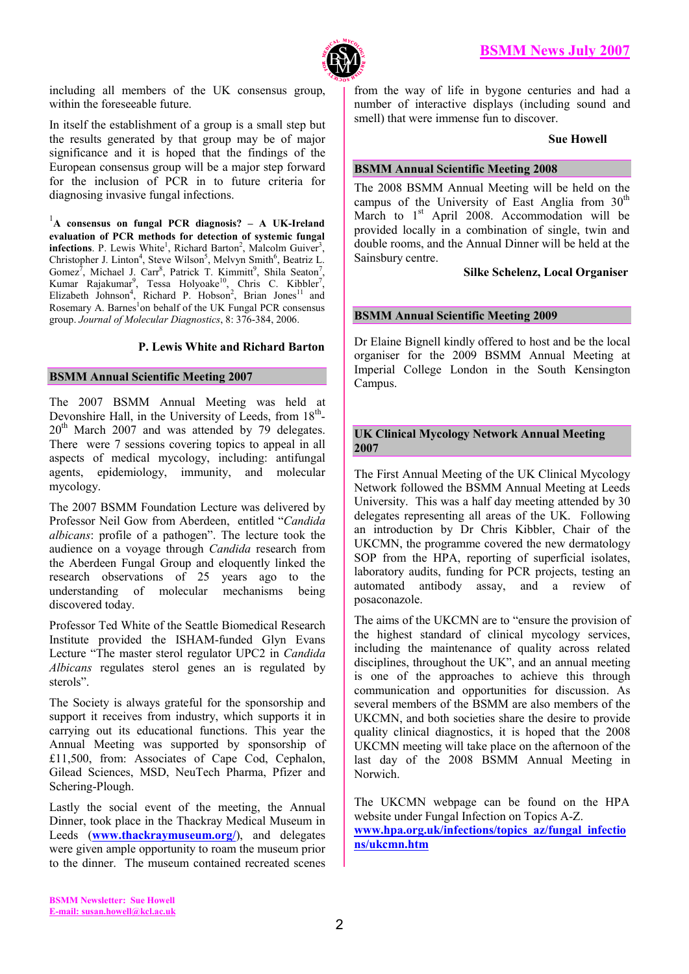

including all members of the UK consensus group, within the foreseeable future.

In itself the establishment of a group is a small step but the results generated by that group may be of major significance and it is hoped that the findings of the European consensus group will be a major step forward for the inclusion of PCR in to future criteria for diagnosing invasive fungal infections.

1 **A consensus on fungal PCR diagnosis? – A UK-Ireland evaluation of PCR methods for detection of systemic fungal infections**. P. Lewis White<sup>1</sup>, Richard Barton<sup>2</sup>, Malcolm Guiver<sup>3</sup>, Christopher J. Linton<sup>4</sup>, Steve Wilson<sup>5</sup>, Melvyn Smith<sup>6</sup>, Beatriz L. Gomez<sup>7</sup>, Michael J. Carr<sup>8</sup>, Patrick T. Kimmitt<sup>9</sup>, Shila Seaton<sup>7</sup>, Kumar Rajakumar<sup>9</sup>, Tessa Holyoake<sup>10</sup>, Chris C. Kibbler<sup>7</sup>, Elizabeth Johnson<sup>4</sup>, Richard P. Hobson<sup>2</sup>, Brian Jones<sup>11</sup> and Rosemary A. Barnes<sup>1</sup>on behalf of the UK Fungal PCR consensus group. *Journal of Molecular Diagnostics*, 8: 376-384, 2006.

# **P. Lewis White and Richard Barton**

## **BSMM Annual Scientific Meeting 2007**

The 2007 BSMM Annual Meeting was held at Devonshire Hall, in the University of Leeds, from 18<sup>th</sup>- $20<sup>th</sup>$  March 2007 and was attended by 79 delegates. There were 7 sessions covering topics to appeal in all aspects of medical mycology, including: antifungal agents, epidemiology, immunity, and molecular mycology.

The 2007 BSMM Foundation Lecture was delivered by Professor Neil Gow from Aberdeen, entitled "*Candida albicans*: profile of a pathogen". The lecture took the audience on a voyage through *Candida* research from the Aberdeen Fungal Group and eloquently linked the research observations of 25 years ago to the understanding of molecular mechanisms being discovered today.

Professor Ted White of the Seattle Biomedical Research Institute provided the ISHAM-funded Glyn Evans Lecture "The master sterol regulator UPC2 in *Candida Albicans* regulates sterol genes an is regulated by sterols".

The Society is always grateful for the sponsorship and support it receives from industry, which supports it in carrying out its educational functions. This year the Annual Meeting was supported by sponsorship of £11,500, from: Associates of Cape Cod, Cephalon, Gilead Sciences, MSD, NeuTech Pharma, Pfizer and Schering-Plough.

Lastly the social event of the meeting, the Annual Dinner, took place in the Thackray Medical Museum in Leeds (**www.thackraymuseum.org/**), and delegates were given ample opportunity to roam the museum prior to the dinner. The museum contained recreated scenes

from the way of life in bygone centuries and had a number of interactive displays (including sound and smell) that were immense fun to discover.

#### **Sue Howell**

# **BSMM Annual Scientific Meeting 2008**

The 2008 BSMM Annual Meeting will be held on the campus of the University of East Anglia from  $30<sup>th</sup>$ March to  $1<sup>st</sup>$  April 2008. Accommodation will be provided locally in a combination of single, twin and double rooms, and the Annual Dinner will be held at the Sainsbury centre.

## **Silke Schelenz, Local Organiser**

# **BSMM Annual Scientific Meeting 2009**

Dr Elaine Bignell kindly offered to host and be the local organiser for the 2009 BSMM Annual Meeting at Imperial College London in the South Kensington Campus.

# **UK Clinical Mycology Network Annual Meeting 2007**

The First Annual Meeting of the UK Clinical Mycology Network followed the BSMM Annual Meeting at Leeds University. This was a half day meeting attended by 30 delegates representing all areas of the UK. Following an introduction by Dr Chris Kibbler, Chair of the UKCMN, the programme covered the new dermatology SOP from the HPA, reporting of superficial isolates, laboratory audits, funding for PCR projects, testing an automated antibody assay, and a review of posaconazole.

The aims of the UKCMN are to "ensure the provision of the highest standard of clinical mycology services, including the maintenance of quality across related disciplines, throughout the UK", and an annual meeting is one of the approaches to achieve this through communication and opportunities for discussion. As several members of the BSMM are also members of the UKCMN, and both societies share the desire to provide quality clinical diagnostics, it is hoped that the 2008 UKCMN meeting will take place on the afternoon of the last day of the 2008 BSMM Annual Meeting in Norwich.

The UKCMN webpage can be found on the HPA website under Fungal Infection on Topics A-Z. **www.hpa.org.uk/infections/topics\_az/fungal\_infectio ns/ukcmn.htm**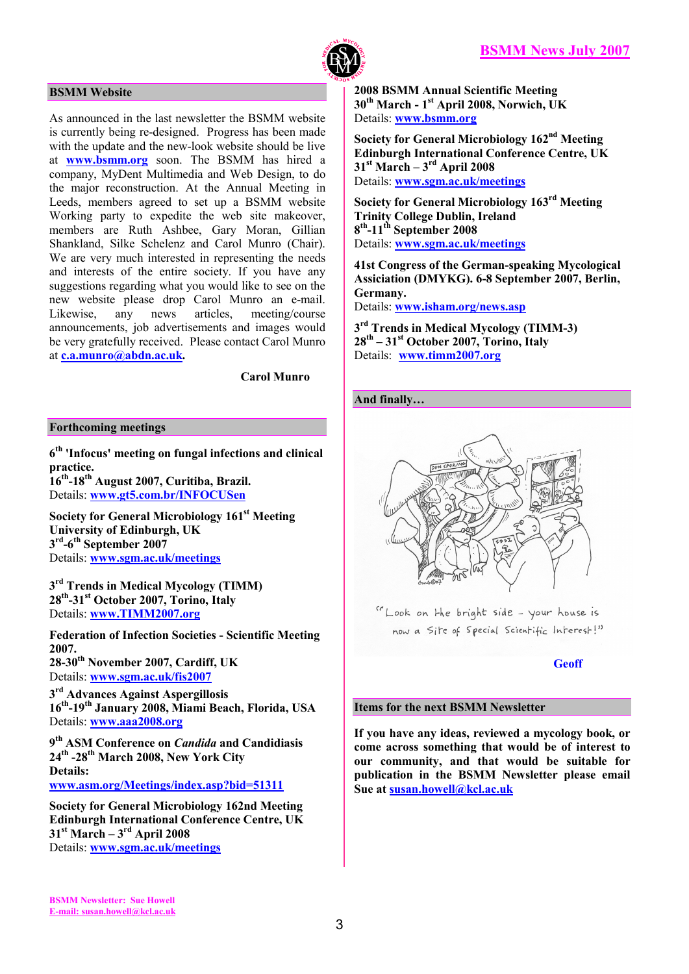

## **BSMM Website**

As announced in the last newsletter the BSMM website is currently being re-designed. Progress has been made with the update and the new-look website should be live at **www.bsmm.org** soon. The BSMM has hired a company, MyDent Multimedia and Web Design, to do the major reconstruction. At the Annual Meeting in Leeds, members agreed to set up a BSMM website Working party to expedite the web site makeover, members are Ruth Ashbee, Gary Moran, Gillian Shankland, Silke Schelenz and Carol Munro (Chair). We are very much interested in representing the needs and interests of the entire society. If you have any suggestions regarding what you would like to see on the new website please drop Carol Munro an e-mail.<br>Likewise. any news articles, meeting/course Likewise, any news articles, meeting/course announcements, job advertisements and images would be very gratefully received. Please contact Carol Munro at **c.a.munro@abdn.ac.uk.** 

 **Carol Munro** 

#### **Forthcoming meetings**

**6 th 'Infocus' meeting on fungal infections and clinical practice. 16th-18th August 2007, Curitiba, Brazil.** 

Details: **www.gt5.com.br/INFOCUSen** 

**Society for General Microbiology 161st Meeting University of Edinburgh, UK 3 rd-6th September 2007**  Details: **www.sgm.ac.uk/meetings** 

**3 rd Trends in Medical Mycology (TIMM) 28th-31st October 2007, Torino, Italy**  Details: **www.TIMM2007.org**

**Federation of Infection Societies - Scientific Meeting 2007. 28-30th November 2007, Cardiff, UK**  Details: **www.sgm.ac.uk/fis2007**

**3 rd Advances Against Aspergillosis 16th-19th January 2008, Miami Beach, Florida, USA**  Details: **www.aaa2008.org** 

**9 th ASM Conference on** *Candida* **and Candidiasis 24th -28th March 2008, New York City Details: www.asm.org/Meetings/index.asp?bid=51311** 

**Society for General Microbiology 162nd Meeting Edinburgh International Conference Centre, UK 31st March – 3rd April 2008**  Details: **www.sgm.ac.uk/meetings** 

**2008 BSMM Annual Scientific Meeting 30th March - 1st April 2008, Norwich, UK**  Details: **www.bsmm.org**

**Society for General Microbiology 162nd Meeting Edinburgh International Conference Centre, UK 31st March – 3rd April 2008**  Details: **www.sgm.ac.uk/meetings** 

**Society for General Microbiology 163rd Meeting Trinity College Dublin, Ireland 8 th-11th September 2008**  Details: **www.sgm.ac.uk/meetings** 

**41st Congress of the German-speaking Mycological Assiciation (DMYKG). 6-8 September 2007, Berlin, Germany.**  Details: **www.isham.org/news.asp**

**3 rd Trends in Medical Mycology (TIMM-3) 28th – 31st October 2007, Torino, Italy**  Details: **www.timm2007.org** 

# **And finally…**



"Look on the bright side - your house is now a Site of Special Scientific Interest!"

## **Geoff**

## **Items for the next BSMM Newsletter**

**If you have any ideas, reviewed a mycology book, or come across something that would be of interest to our community, and that would be suitable for publication in the BSMM Newsletter please email Sue at susan.howell@kcl.ac.uk**